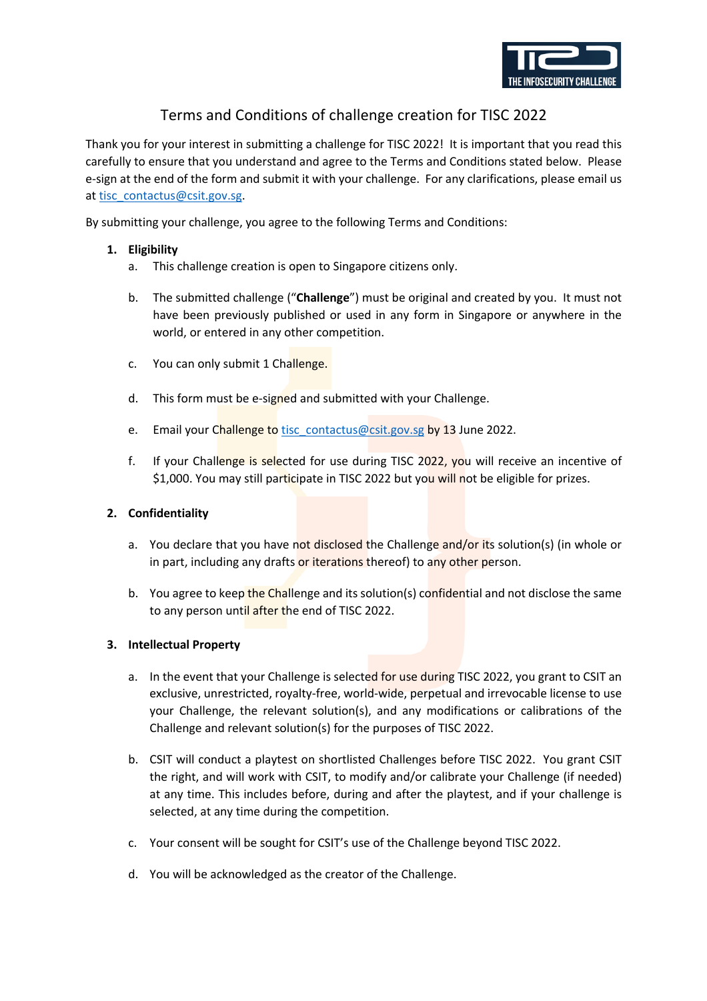

# Terms and Conditions of challenge creation for TISC 2022

Thank you for your interest in submitting a challenge for TISC 2022! It is important that you read this carefully to ensure that you understand and agree to the Terms and Conditions stated below. Please e-sign at the end of the form and submit it with your challenge. For any clarifications, please email us at tisc\_contactus@csit.gov.sg.

By submitting your challenge, you agree to the following Terms and Conditions:

## **1. Eligibility**

- a. This challenge creation is open to Singapore citizens only.
- b. The submitted challenge ("**Challenge**") must be original and created by you. It must not have been previously published or used in any form in Singapore or anywhere in the world, or entered in any other competition.
- c. You can only submit 1 Challenge.
- d. This form must be e-signed and submitted with your Challenge.
- e. Email your Challenge to tisc contactus@csit.gov.sg by 13 June 2022.
- f. If your Challenge is selected for use during TISC 2022, you will receive an incentive of \$1,000. You may still participate in TISC 2022 but you will not be eligible for prizes.

#### **2. Confidentiality**

- a. You declare that you have not disclosed the Challenge and/or its solution(s) (in whole or in part, including any drafts or iterations thereof) to any other person.
- b. You agree to keep the Challenge and its solution(s) confidential and not disclose the same to any person until after the end of TISC 2022.

## **3. Intellectual Property**

- a. In the event that your Challenge is selected for use during TISC 2022, you grant to CSIT an exclusive, unrestricted, royalty-free, world-wide, perpetual and irrevocable license to use your Challenge, the relevant solution(s), and any modifications or calibrations of the Challenge and relevant solution(s) for the purposes of TISC 2022.
- b. CSIT will conduct a playtest on shortlisted Challenges before TISC 2022. You grant CSIT the right, and will work with CSIT, to modify and/or calibrate your Challenge (if needed) at any time. This includes before, during and after the playtest, and if your challenge is selected, at any time during the competition.
- c. Your consent will be sought for CSIT's use of the Challenge beyond TISC 2022.
- d. You will be acknowledged as the creator of the Challenge.